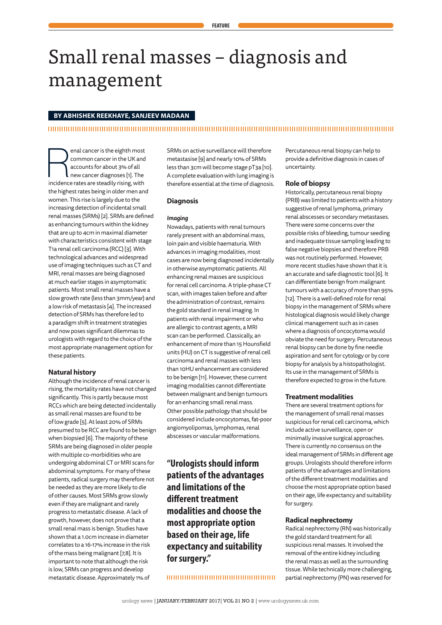# Small renal masses – diagnosis and management

# **BY ABHISHEK REEKHAYE, SANJEEV MADAAN**

enal cancer is the eighth most<br>
common cancer in the UK and<br>
accounts for about 3% of all<br>
new cancer diagnoses [1]. The<br>
incidence rates are steadily rising, with common cancer in the UK and accounts for about 3% of all new cancer diagnoses [1]. The the highest rates being in older men and women. This rise is largely due to the increasing detection of incidental small renal masses (SRMs) [2]. SRMs are defined as enhancing tumours within the kidney that are up to 4cm in maximal diameter with characteristics consistent with stage T1a renal cell carcinoma (RCC) [3]. With technological advances and widespread use of imaging techniques such as CT and MRI, renal masses are being diagnosed at much earlier stages in asymptomatic patients. Most small renal masses have a slow growth rate (less than 3mm/year) and a low risk of metastasis [4]. The increased detection of SRMs has therefore led to a paradigm shift in treatment strategies and now poses significant dilemmas to urologists with regard to the choice of the most appropriate management option for these patients.

# **Natural history**

Although the incidence of renal cancer is rising, the mortality rates have not changed significantly. This is partly because most RCCs which are being detected incidentally as small renal masses are found to be of low grade [5]. At least 20% of SRMs presumed to be RCC are found to be benign when biopsied [6]. The majority of these SRMs are being diagnosed in older people with multiple co-morbidities who are undergoing abdominal CT or MRI scans for abdominal symptoms. For many of these patients, radical surgery may therefore not be needed as they are more likely to die of other causes. Most SRMs grow slowly even if they are malignant and rarely progress to metastatic disease. A lack of growth, however, does not prove that a small renal mass is benign. Studies have shown that a 1.0cm increase in diameter correlates to a 16-17% increase in the risk of the mass being malignant [7,8]. It is important to note that although the risk is low, SRMs can progress and develop metastatic disease. Approximately 1% of

SRMs on active surveillance will therefore metastasise [9] and nearly 10% of SRMs less than 3cm will become stage pT3a [10]. A complete evaluation with lung imaging is therefore essential at the time of diagnosis.

### **Diagnosis**

## *Imaging*

Nowadays, patients with renal tumours rarely present with an abdominal mass, loin pain and visible haematuria. With advances in imaging modalities, most cases are now being diagnosed incidentally in otherwise asymptomatic patients. All enhancing renal masses are suspicious for renal cell carcinoma. A triple-phase CT scan, with images taken before and after the administration of contrast, remains the gold standard in renal imaging. In patients with renal impairment or who are allergic to contrast agents, a MRI scan can be performed. Classically, an enhancement of more than 15 Hounsfield units (HU) on CT is suggestive of renal cell carcinoma and renal masses with less than 10HU enhancement are considered to be benign [11]. However, these current imaging modalities cannot differentiate between malignant and benign tumours for an enhancing small renal mass. Other possible pathology that should be considered include oncocytomas, fat-poor angiomyolipomas, lymphomas, renal abscesses or vascular malformations.

**"Urologists should inform patients of the advantages and limitations of the different treatment modalities and choose the most appropriate option based on their age, life expectancy and suitability for surgery."**

Percutaneous renal biopsy can help to provide a definitive diagnosis in cases of uncertainty.

# **Role of biopsy**

Historically, percutaneous renal biopsy (PRB) was limited to patients with a history suggestive of renal lymphoma, primary renal abscesses or secondary metastases. There were some concerns over the possible risks of bleeding, tumour seeding and inadequate tissue sampling leading to false negative biopsies and therefore PRB was not routinely performed. However, more recent studies have shown that it is an accurate and safe diagnostic tool [6]. It can differentiate benign from malignant tumours with a accuracy of more than 95% [12]. There is a well-defined role for renal biopsy in the management of SRMs where histological diagnosis would likely change clinical management such as in cases where a diagnosis of oncocytoma would obviate the need for surgery. Percutaneous renal biopsy can be done by fine needle aspiration and sent for cytology or by core biopsy for analysis by a histopathologist. Its use in the management of SRMs is therefore expected to grow in the future.

### **Treatment modalities**

There are several treatment options for the management of small renal masses suspicious for renal cell carcinoma, which include active surveillance, open or minimally invasive surgical approaches. There is currently no consensus on the ideal management of SRMs in different age groups. Urologists should therefore inform patients of the advantages and limitations of the different treatment modalities and choose the most appropriate option based on their age, life expectancy and suitability for surgery.

# **Radical nephrectomy**

Radical nephrectomy (RN) was historically the gold standard treatment for all suspicious renal masses. It involved the removal of the entire kidney including the renal mass as well as the surrounding tissue. While technically more challenging, partial nephrectomy (PN) was reserved for